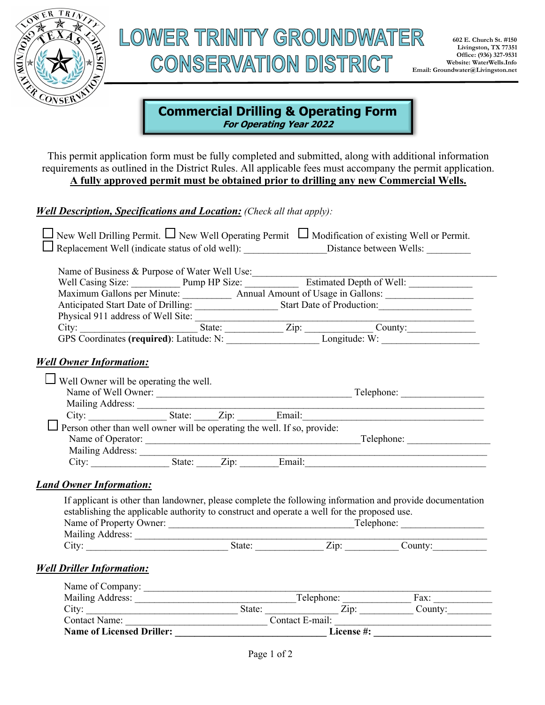

# LOWER TRINITY GROUNDWATER **CONSERVATION DISTRICT**

## **Commercial Drilling & Operating Form**

**For Operating Year 2022**

This permit application form must be fully completed and submitted, along with additional information requirements as outlined in the District Rules. All applicable fees must accompany the permit application. **A fully approved permit must be obtained prior to drilling any new Commercial Wells.**

#### *Well Description, Specifications and Location: (Check all that apply):*

|                                                                                                                           |  |  | New Well Drilling Permit. $\Box$ New Well Operating Permit $\Box$ Modification of existing Well or Permit.<br>Replacement Well (indicate status of old well): _____________________Distance between Wells: _____________ |
|---------------------------------------------------------------------------------------------------------------------------|--|--|--------------------------------------------------------------------------------------------------------------------------------------------------------------------------------------------------------------------------|
|                                                                                                                           |  |  |                                                                                                                                                                                                                          |
|                                                                                                                           |  |  |                                                                                                                                                                                                                          |
|                                                                                                                           |  |  | Maximum Gallons per Minute: _____________ Annual Amount of Usage in Gallons: ______________________                                                                                                                      |
|                                                                                                                           |  |  | Anticipated Start Date of Drilling: _______________________Start Date of Production: _________________________                                                                                                           |
|                                                                                                                           |  |  |                                                                                                                                                                                                                          |
|                                                                                                                           |  |  |                                                                                                                                                                                                                          |
|                                                                                                                           |  |  |                                                                                                                                                                                                                          |
| $\Box$ Well Owner will be operating the well.<br>Person other than well owner will be operating the well. If so, provide: |  |  |                                                                                                                                                                                                                          |
|                                                                                                                           |  |  |                                                                                                                                                                                                                          |
|                                                                                                                           |  |  |                                                                                                                                                                                                                          |
| <b>Land Owner Information:</b>                                                                                            |  |  |                                                                                                                                                                                                                          |
| establishing the applicable authority to construct and operate a well for the proposed use.                               |  |  | If applicant is other than landowner, please complete the following information and provide documentation                                                                                                                |
| Mailing Address:                                                                                                          |  |  |                                                                                                                                                                                                                          |
|                                                                                                                           |  |  | City: City: City: City: Cumber County: County: County: County: County:                                                                                                                                                   |
| <b>Well Driller Information:</b>                                                                                          |  |  |                                                                                                                                                                                                                          |

| Name of Company:                 |        |                 |         |
|----------------------------------|--------|-----------------|---------|
| Mailing Address:                 |        | Telephone:      | Fax:    |
| City:                            | State: | $\mathrm{Zip:}$ | Countv: |
| <b>Contact Name:</b>             |        | Contact E-mail: |         |
| <b>Name of Licensed Driller:</b> |        | License #:      |         |
|                                  |        |                 |         |